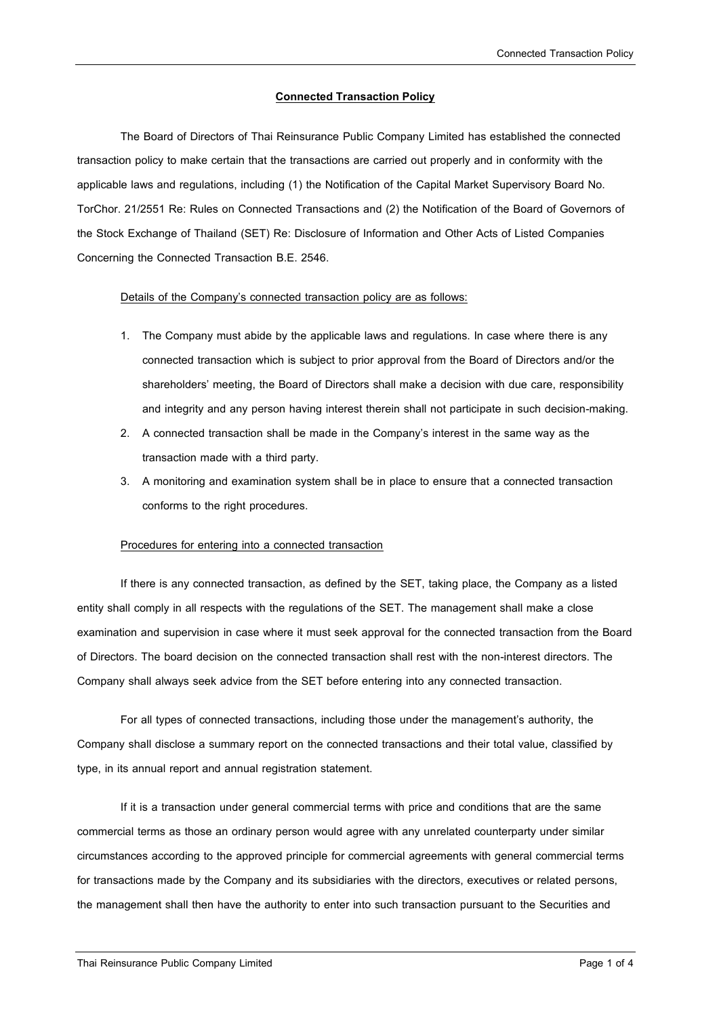## **Connected Transaction Policy**

The Board of Directors of Thai Reinsurance Public Company Limited has established the connected transaction policy to make certain that the transactions are carried out properly and in conformity with the applicable laws and regulations, including (1) the Notification of the Capital Market Supervisory Board No. TorChor. 21/2551 Re: Rules on Connected Transactions and (2) the Notification of the Board of Governors of the Stock Exchange of Thailand (SET) Re: Disclosure of Information and Other Acts of Listed Companies Concerning the Connected Transaction B.E. 2546.

## Details of the Company's connected transaction policy are as follows:

- 1. The Company must abide by the applicable laws and regulations. In case where there is any connected transaction which is subject to prior approval from the Board of Directors and/or the shareholders' meeting, the Board of Directors shall make a decision with due care, responsibility and integrity and any person having interest therein shall not participate in such decision-making.
- 2. A connected transaction shall be made in the Company's interest in the same way as the transaction made with a third party.
- 3. A monitoring and examination system shall be in place to ensure that a connected transaction conforms to the right procedures.

## Procedures for entering into a connected transaction

If there is any connected transaction, as defined by the SET, taking place, the Company as a listed entity shall comply in all respects with the regulations of the SET. The management shall make a close examination and supervision in case where it must seek approval for the connected transaction from the Board of Directors. The board decision on the connected transaction shall rest with the non-interest directors. The Company shall always seek advice from the SET before entering into any connected transaction.

For all types of connected transactions, including those under the management's authority, the Company shall disclose a summary report on the connected transactions and their total value, classified by type, in its annual report and annual registration statement.

If it is a transaction under general commercial terms with price and conditions that are the same commercial terms as those an ordinary person would agree with any unrelated counterparty under similar circumstances according to the approved principle for commercial agreements with general commercial terms for transactions made by the Company and its subsidiaries with the directors, executives or related persons, the management shall then have the authority to enter into such transaction pursuant to the Securities and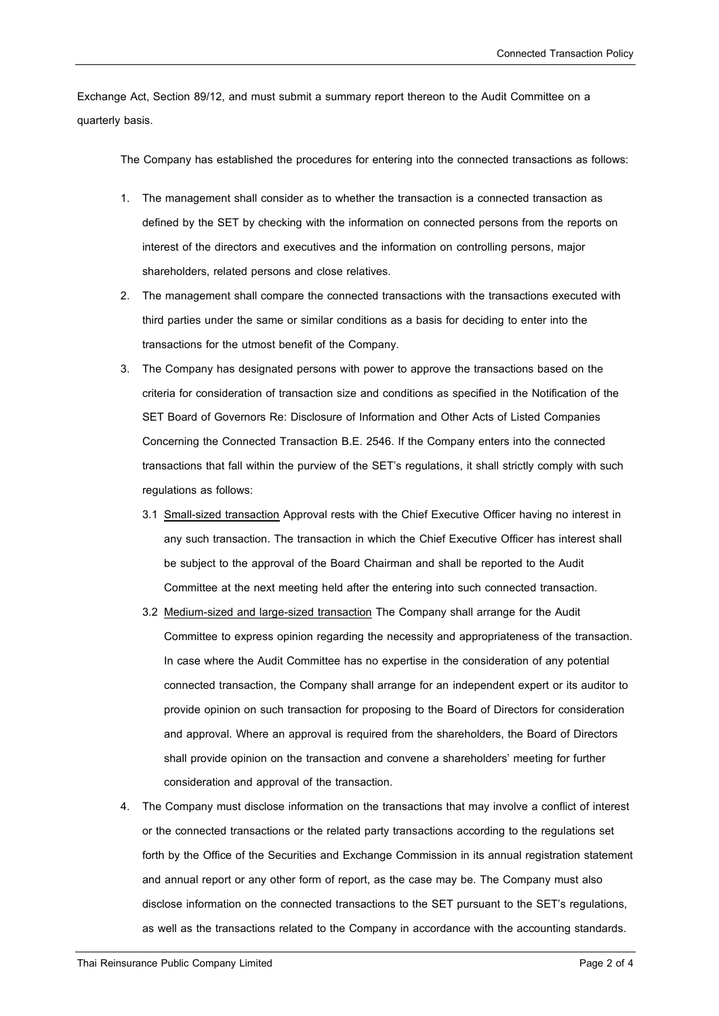Exchange Act, Section 89/12, and must submit a summary report thereon to the Audit Committee on a quarterly basis.

The Company has established the procedures for entering into the connected transactions as follows:

- 1. The management shall consider as to whether the transaction is a connected transaction as defined by the SET by checking with the information on connected persons from the reports on interest of the directors and executives and the information on controlling persons, major shareholders, related persons and close relatives.
- 2. The management shall compare the connected transactions with the transactions executed with third parties under the same or similar conditions as a basis for deciding to enter into the transactions for the utmost benefit of the Company.
- 3. The Company has designated persons with power to approve the transactions based on the criteria for consideration of transaction size and conditions as specified in the Notification of the SET Board of Governors Re: Disclosure of Information and Other Acts of Listed Companies Concerning the Connected Transaction B.E. 2546. If the Company enters into the connected transactions that fall within the purview of the SET's regulations, it shall strictly comply with such regulations as follows:
	- 3.1 Small-sized transaction Approval rests with the Chief Executive Officer having no interest in any such transaction. The transaction in which the Chief Executive Officer has interest shall be subject to the approval of the Board Chairman and shall be reported to the Audit Committee at the next meeting held after the entering into such connected transaction.
	- 3.2 Medium-sized and large-sized transaction The Company shall arrange for the Audit Committee to express opinion regarding the necessity and appropriateness of the transaction. In case where the Audit Committee has no expertise in the consideration of any potential connected transaction, the Company shall arrange for an independent expert or its auditor to provide opinion on such transaction for proposing to the Board of Directors for consideration and approval. Where an approval is required from the shareholders, the Board of Directors shall provide opinion on the transaction and convene a shareholders' meeting for further consideration and approval of the transaction.
- 4. The Company must disclose information on the transactions that may involve a conflict of interest or the connected transactions or the related party transactions according to the regulations set forth by the Office of the Securities and Exchange Commission in its annual registration statement and annual report or any other form of report, as the case may be. The Company must also disclose information on the connected transactions to the SET pursuant to the SET's regulations, as well as the transactions related to the Company in accordance with the accounting standards.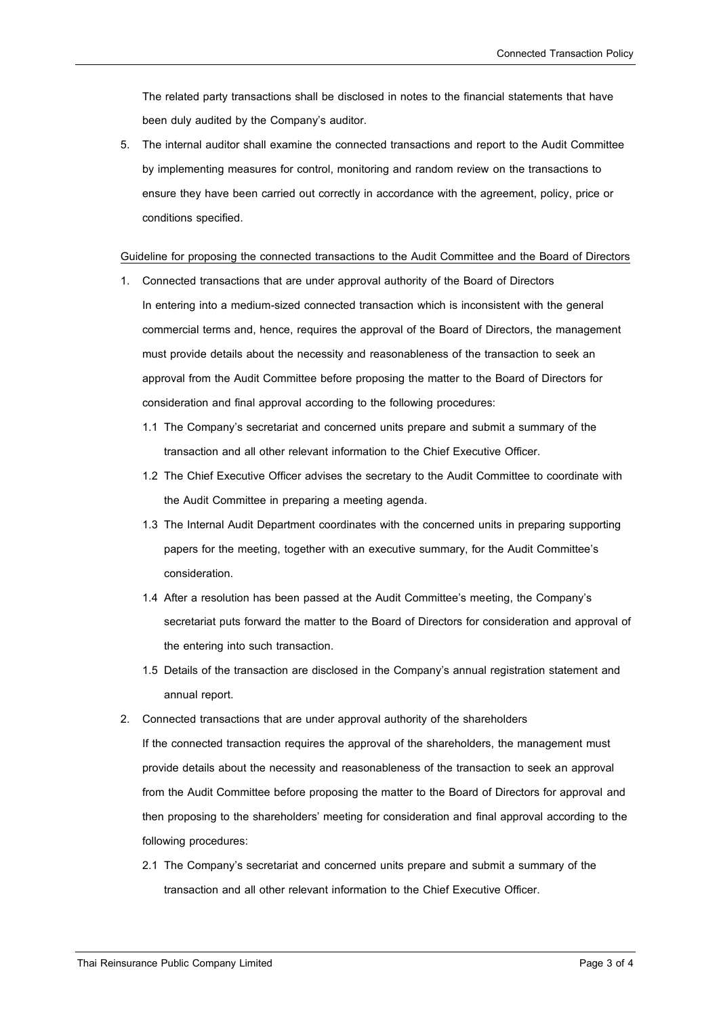The related party transactions shall be disclosed in notes to the financial statements that have been duly audited by the Company's auditor.

5. The internal auditor shall examine the connected transactions and report to the Audit Committee by implementing measures for control, monitoring and random review on the transactions to ensure they have been carried out correctly in accordance with the agreement, policy, price or conditions specified.

## Guideline for proposing the connected transactions to the Audit Committee and the Board of Directors

- 1. Connected transactions that are under approval authority of the Board of Directors In entering into a medium-sized connected transaction which is inconsistent with the general commercial terms and, hence, requires the approval of the Board of Directors, the management must provide details about the necessity and reasonableness of the transaction to seek an approval from the Audit Committee before proposing the matter to the Board of Directors for consideration and final approval according to the following procedures:
	- 1.1 The Company's secretariat and concerned units prepare and submit a summary of the transaction and all other relevant information to the Chief Executive Officer.
	- 1.2 The Chief Executive Officer advises the secretary to the Audit Committee to coordinate with the Audit Committee in preparing a meeting agenda.
	- 1.3 The Internal Audit Department coordinates with the concerned units in preparing supporting papers for the meeting, together with an executive summary, for the Audit Committee's consideration.
	- 1.4 After a resolution has been passed at the Audit Committee's meeting, the Company's secretariat puts forward the matter to the Board of Directors for consideration and approval of the entering into such transaction.
	- 1.5 Details of the transaction are disclosed in the Company's annual registration statement and annual report.
- 2. Connected transactions that are under approval authority of the shareholders

If the connected transaction requires the approval of the shareholders, the management must provide details about the necessity and reasonableness of the transaction to seek an approval from the Audit Committee before proposing the matter to the Board of Directors for approval and then proposing to the shareholders' meeting for consideration and final approval according to the following procedures:

2.1 The Company's secretariat and concerned units prepare and submit a summary of the transaction and all other relevant information to the Chief Executive Officer.